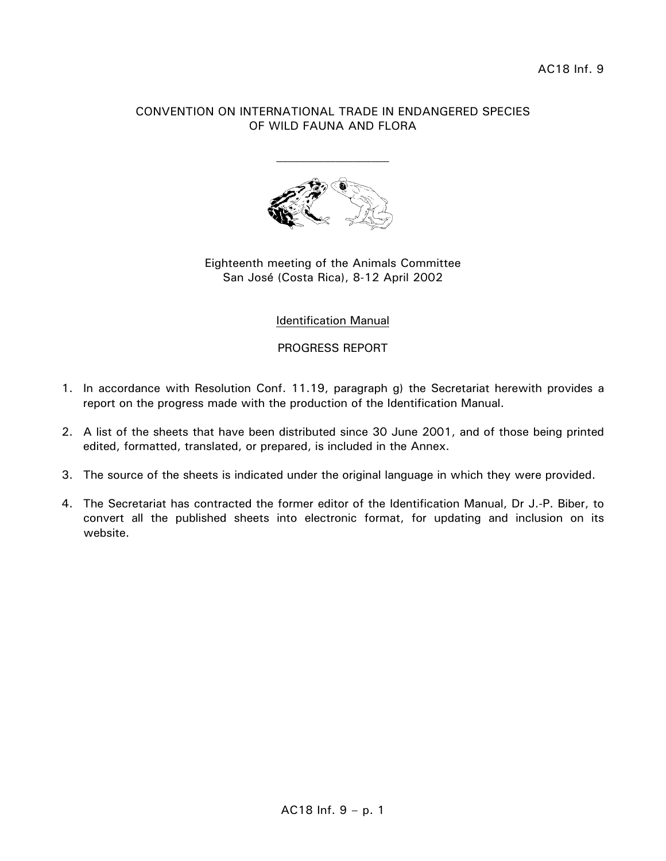## CONVENTION ON INTERNATIONAL TRADE IN ENDANGERED SPECIES OF WILD FAUNA AND FLORA



## Eighteenth meeting of the Animals Committee San José (Costa Rica), 8-12 April 2002

# Identification Manual

PROGRESS REPORT

- 1. In accordance with Resolution Conf. 11.19, paragraph g) the Secretariat herewith provides a report on the progress made with the production of the Identification Manual.
- 2. A list of the sheets that have been distributed since 30 June 2001, and of those being printed edited, formatted, translated, or prepared, is included in the Annex.
- 3. The source of the sheets is indicated under the original language in which they were provided.
- 4. The Secretariat has contracted the former editor of the Identification Manual, Dr J.-P. Biber, to convert all the published sheets into electronic format, for updating and inclusion on its website.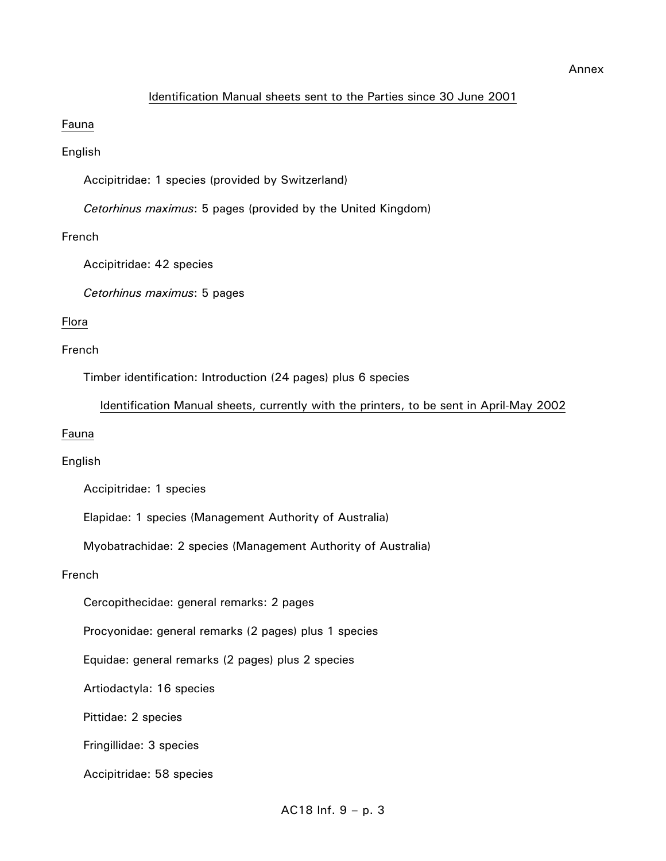#### Identification Manual sheets sent to the Parties since 30 June 2001

### Fauna

## English

Accipitridae: 1 species (provided by Switzerland)

*Cetorhinus maximus*: 5 pages (provided by the United Kingdom)

# French

Accipitridae: 42 species

*Cetorhinus maximus*: 5 pages

## Flora

### French

Timber identification: Introduction (24 pages) plus 6 species

### Identification Manual sheets, currently with the printers, to be sent in April-May 2002

#### Fauna

# English

Accipitridae: 1 species

Elapidae: 1 species (Management Authority of Australia)

Myobatrachidae: 2 species (Management Authority of Australia)

#### French

Cercopithecidae: general remarks: 2 pages

Procyonidae: general remarks (2 pages) plus 1 species

Equidae: general remarks (2 pages) plus 2 species

Artiodactyla: 16 species

Pittidae: 2 species

Fringillidae: 3 species

Accipitridae: 58 species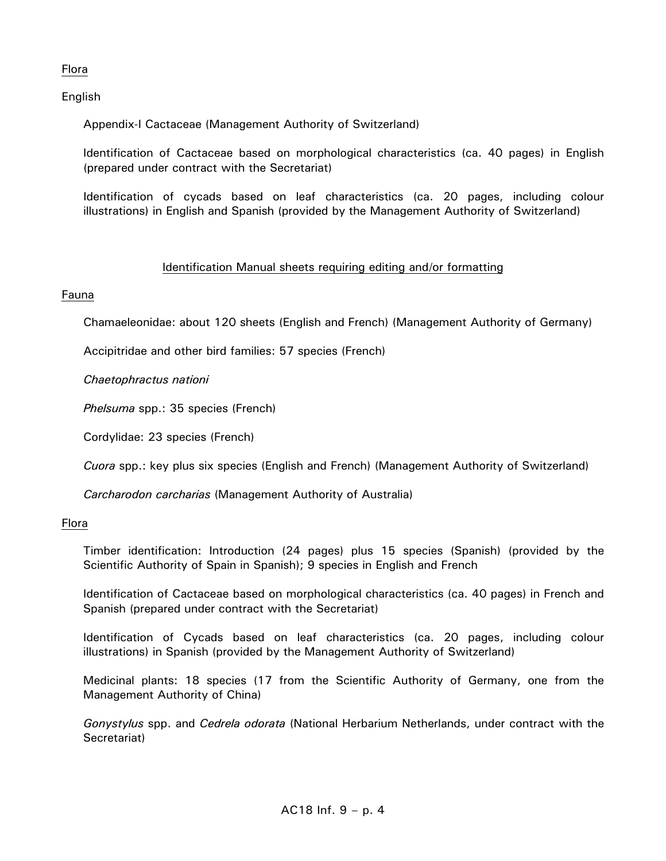# Flora

English

Appendix-I Cactaceae (Management Authority of Switzerland)

 Identification of Cactaceae based on morphological characteristics (ca. 40 pages) in English (prepared under contract with the Secretariat)

 Identification of cycads based on leaf characteristics (ca. 20 pages, including colour illustrations) in English and Spanish (provided by the Management Authority of Switzerland)

# Identification Manual sheets requiring editing and/or formatting

# Fauna

Chamaeleonidae: about 120 sheets (English and French) (Management Authority of Germany)

Accipitridae and other bird families: 57 species (French)

*Chaetophractus nationi* 

*Phelsuma* spp.: 35 species (French)

Cordylidae: 23 species (French)

*Cuora* spp.: key plus six species (English and French) (Management Authority of Switzerland)

*Carcharodon carcharias* (Management Authority of Australia)

# Flora

 Timber identification: Introduction (24 pages) plus 15 species (Spanish) (provided by the Scientific Authority of Spain in Spanish); 9 species in English and French

 Identification of Cactaceae based on morphological characteristics (ca. 40 pages) in French and Spanish (prepared under contract with the Secretariat)

 Identification of Cycads based on leaf characteristics (ca. 20 pages, including colour illustrations) in Spanish (provided by the Management Authority of Switzerland)

 Medicinal plants: 18 species (17 from the Scientific Authority of Germany, one from the Management Authority of China)

*Gonystylus* spp. and *Cedrela odorata* (National Herbarium Netherlands, under contract with the Secretariat)